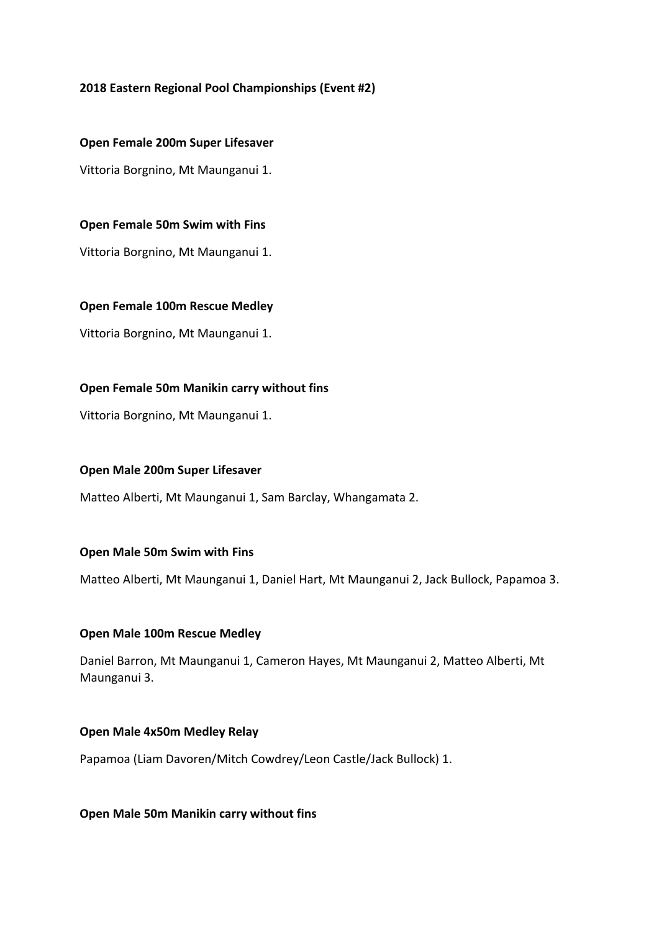# **2018 Eastern Regional Pool Championships (Event #2)**

**Open Female 200m Super Lifesaver**

Vittoria Borgnino, Mt Maunganui 1.

#### **Open Female 50m Swim with Fins**

Vittoria Borgnino, Mt Maunganui 1.

#### **Open Female 100m Rescue Medley**

Vittoria Borgnino, Mt Maunganui 1.

#### **Open Female 50m Manikin carry without fins**

Vittoria Borgnino, Mt Maunganui 1.

#### **Open Male 200m Super Lifesaver**

Matteo Alberti, Mt Maunganui 1, Sam Barclay, Whangamata 2.

#### **Open Male 50m Swim with Fins**

Matteo Alberti, Mt Maunganui 1, Daniel Hart, Mt Maunganui 2, Jack Bullock, Papamoa 3.

#### **Open Male 100m Rescue Medley**

Daniel Barron, Mt Maunganui 1, Cameron Hayes, Mt Maunganui 2, Matteo Alberti, Mt Maunganui 3.

#### **Open Male 4x50m Medley Relay**

Papamoa (Liam Davoren/Mitch Cowdrey/Leon Castle/Jack Bullock) 1.

#### **Open Male 50m Manikin carry without fins**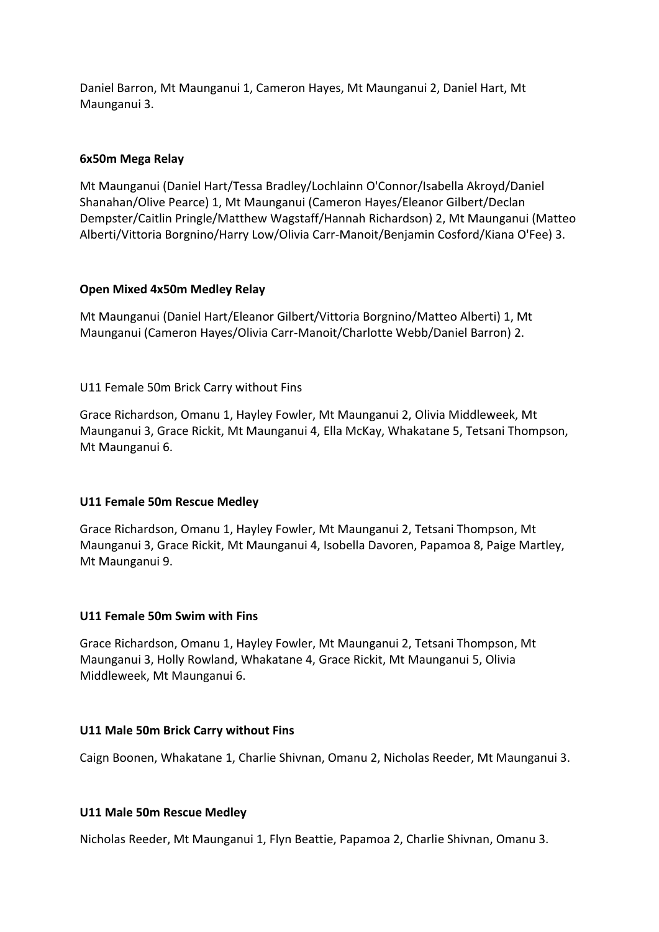Daniel Barron, Mt Maunganui 1, Cameron Hayes, Mt Maunganui 2, Daniel Hart, Mt Maunganui 3.

# **6x50m Mega Relay**

Mt Maunganui (Daniel Hart/Tessa Bradley/Lochlainn O'Connor/Isabella Akroyd/Daniel Shanahan/Olive Pearce) 1, Mt Maunganui (Cameron Hayes/Eleanor Gilbert/Declan Dempster/Caitlin Pringle/Matthew Wagstaff/Hannah Richardson) 2, Mt Maunganui (Matteo Alberti/Vittoria Borgnino/Harry Low/Olivia Carr-Manoit/Benjamin Cosford/Kiana O'Fee) 3.

# **Open Mixed 4x50m Medley Relay**

Mt Maunganui (Daniel Hart/Eleanor Gilbert/Vittoria Borgnino/Matteo Alberti) 1, Mt Maunganui (Cameron Hayes/Olivia Carr-Manoit/Charlotte Webb/Daniel Barron) 2.

# U11 Female 50m Brick Carry without Fins

Grace Richardson, Omanu 1, Hayley Fowler, Mt Maunganui 2, Olivia Middleweek, Mt Maunganui 3, Grace Rickit, Mt Maunganui 4, Ella McKay, Whakatane 5, Tetsani Thompson, Mt Maunganui 6.

#### **U11 Female 50m Rescue Medley**

Grace Richardson, Omanu 1, Hayley Fowler, Mt Maunganui 2, Tetsani Thompson, Mt Maunganui 3, Grace Rickit, Mt Maunganui 4, Isobella Davoren, Papamoa 8, Paige Martley, Mt Maunganui 9.

#### **U11 Female 50m Swim with Fins**

Grace Richardson, Omanu 1, Hayley Fowler, Mt Maunganui 2, Tetsani Thompson, Mt Maunganui 3, Holly Rowland, Whakatane 4, Grace Rickit, Mt Maunganui 5, Olivia Middleweek, Mt Maunganui 6.

#### **U11 Male 50m Brick Carry without Fins**

Caign Boonen, Whakatane 1, Charlie Shivnan, Omanu 2, Nicholas Reeder, Mt Maunganui 3.

#### **U11 Male 50m Rescue Medley**

Nicholas Reeder, Mt Maunganui 1, Flyn Beattie, Papamoa 2, Charlie Shivnan, Omanu 3.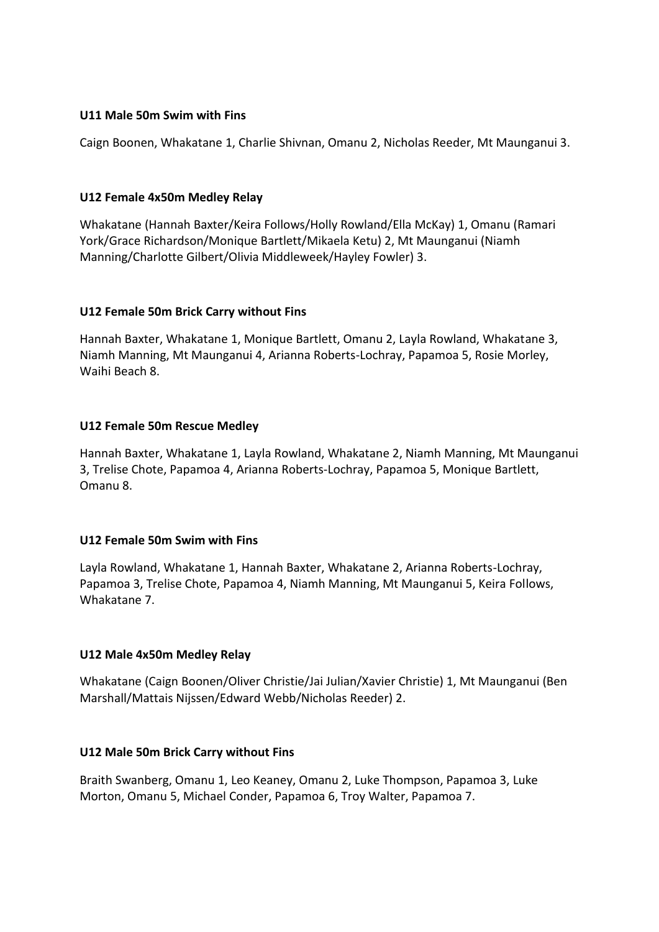#### **U11 Male 50m Swim with Fins**

Caign Boonen, Whakatane 1, Charlie Shivnan, Omanu 2, Nicholas Reeder, Mt Maunganui 3.

# **U12 Female 4x50m Medley Relay**

Whakatane (Hannah Baxter/Keira Follows/Holly Rowland/Ella McKay) 1, Omanu (Ramari York/Grace Richardson/Monique Bartlett/Mikaela Ketu) 2, Mt Maunganui (Niamh Manning/Charlotte Gilbert/Olivia Middleweek/Hayley Fowler) 3.

# **U12 Female 50m Brick Carry without Fins**

Hannah Baxter, Whakatane 1, Monique Bartlett, Omanu 2, Layla Rowland, Whakatane 3, Niamh Manning, Mt Maunganui 4, Arianna Roberts-Lochray, Papamoa 5, Rosie Morley, Waihi Beach 8.

# **U12 Female 50m Rescue Medley**

Hannah Baxter, Whakatane 1, Layla Rowland, Whakatane 2, Niamh Manning, Mt Maunganui 3, Trelise Chote, Papamoa 4, Arianna Roberts-Lochray, Papamoa 5, Monique Bartlett, Omanu 8.

#### **U12 Female 50m Swim with Fins**

Layla Rowland, Whakatane 1, Hannah Baxter, Whakatane 2, Arianna Roberts-Lochray, Papamoa 3, Trelise Chote, Papamoa 4, Niamh Manning, Mt Maunganui 5, Keira Follows, Whakatane 7.

# **U12 Male 4x50m Medley Relay**

Whakatane (Caign Boonen/Oliver Christie/Jai Julian/Xavier Christie) 1, Mt Maunganui (Ben Marshall/Mattais Nijssen/Edward Webb/Nicholas Reeder) 2.

#### **U12 Male 50m Brick Carry without Fins**

Braith Swanberg, Omanu 1, Leo Keaney, Omanu 2, Luke Thompson, Papamoa 3, Luke Morton, Omanu 5, Michael Conder, Papamoa 6, Troy Walter, Papamoa 7.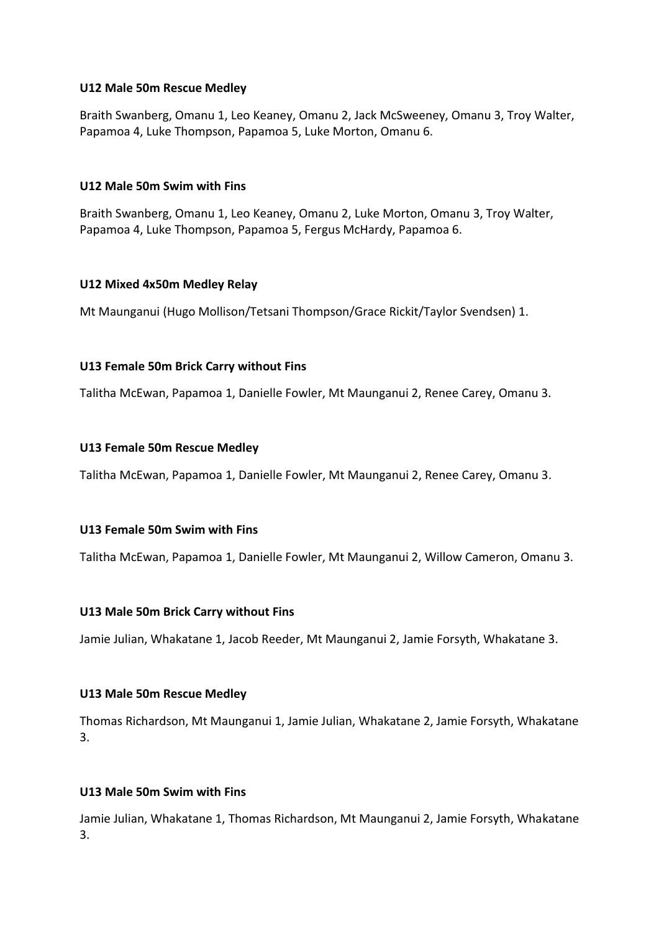#### **U12 Male 50m Rescue Medley**

Braith Swanberg, Omanu 1, Leo Keaney, Omanu 2, Jack McSweeney, Omanu 3, Troy Walter, Papamoa 4, Luke Thompson, Papamoa 5, Luke Morton, Omanu 6.

#### **U12 Male 50m Swim with Fins**

Braith Swanberg, Omanu 1, Leo Keaney, Omanu 2, Luke Morton, Omanu 3, Troy Walter, Papamoa 4, Luke Thompson, Papamoa 5, Fergus McHardy, Papamoa 6.

#### **U12 Mixed 4x50m Medley Relay**

Mt Maunganui (Hugo Mollison/Tetsani Thompson/Grace Rickit/Taylor Svendsen) 1.

#### **U13 Female 50m Brick Carry without Fins**

Talitha McEwan, Papamoa 1, Danielle Fowler, Mt Maunganui 2, Renee Carey, Omanu 3.

#### **U13 Female 50m Rescue Medley**

Talitha McEwan, Papamoa 1, Danielle Fowler, Mt Maunganui 2, Renee Carey, Omanu 3.

#### **U13 Female 50m Swim with Fins**

Talitha McEwan, Papamoa 1, Danielle Fowler, Mt Maunganui 2, Willow Cameron, Omanu 3.

#### **U13 Male 50m Brick Carry without Fins**

Jamie Julian, Whakatane 1, Jacob Reeder, Mt Maunganui 2, Jamie Forsyth, Whakatane 3.

#### **U13 Male 50m Rescue Medley**

Thomas Richardson, Mt Maunganui 1, Jamie Julian, Whakatane 2, Jamie Forsyth, Whakatane 3.

#### **U13 Male 50m Swim with Fins**

Jamie Julian, Whakatane 1, Thomas Richardson, Mt Maunganui 2, Jamie Forsyth, Whakatane 3.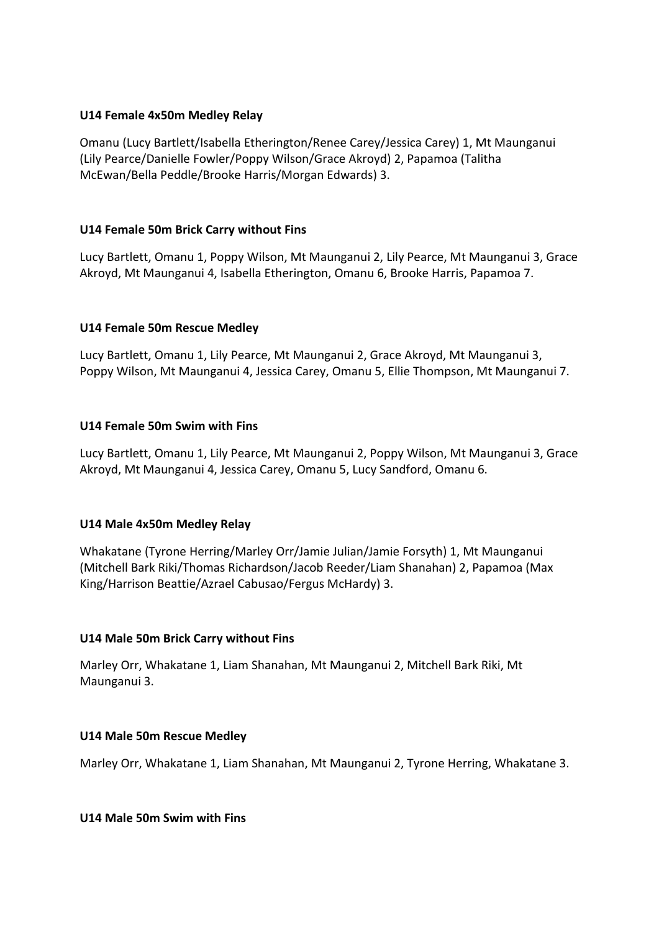### **U14 Female 4x50m Medley Relay**

Omanu (Lucy Bartlett/Isabella Etherington/Renee Carey/Jessica Carey) 1, Mt Maunganui (Lily Pearce/Danielle Fowler/Poppy Wilson/Grace Akroyd) 2, Papamoa (Talitha McEwan/Bella Peddle/Brooke Harris/Morgan Edwards) 3.

# **U14 Female 50m Brick Carry without Fins**

Lucy Bartlett, Omanu 1, Poppy Wilson, Mt Maunganui 2, Lily Pearce, Mt Maunganui 3, Grace Akroyd, Mt Maunganui 4, Isabella Etherington, Omanu 6, Brooke Harris, Papamoa 7.

#### **U14 Female 50m Rescue Medley**

Lucy Bartlett, Omanu 1, Lily Pearce, Mt Maunganui 2, Grace Akroyd, Mt Maunganui 3, Poppy Wilson, Mt Maunganui 4, Jessica Carey, Omanu 5, Ellie Thompson, Mt Maunganui 7.

#### **U14 Female 50m Swim with Fins**

Lucy Bartlett, Omanu 1, Lily Pearce, Mt Maunganui 2, Poppy Wilson, Mt Maunganui 3, Grace Akroyd, Mt Maunganui 4, Jessica Carey, Omanu 5, Lucy Sandford, Omanu 6.

#### **U14 Male 4x50m Medley Relay**

Whakatane (Tyrone Herring/Marley Orr/Jamie Julian/Jamie Forsyth) 1, Mt Maunganui (Mitchell Bark Riki/Thomas Richardson/Jacob Reeder/Liam Shanahan) 2, Papamoa (Max King/Harrison Beattie/Azrael Cabusao/Fergus McHardy) 3.

# **U14 Male 50m Brick Carry without Fins**

Marley Orr, Whakatane 1, Liam Shanahan, Mt Maunganui 2, Mitchell Bark Riki, Mt Maunganui 3.

#### **U14 Male 50m Rescue Medley**

Marley Orr, Whakatane 1, Liam Shanahan, Mt Maunganui 2, Tyrone Herring, Whakatane 3.

### **U14 Male 50m Swim with Fins**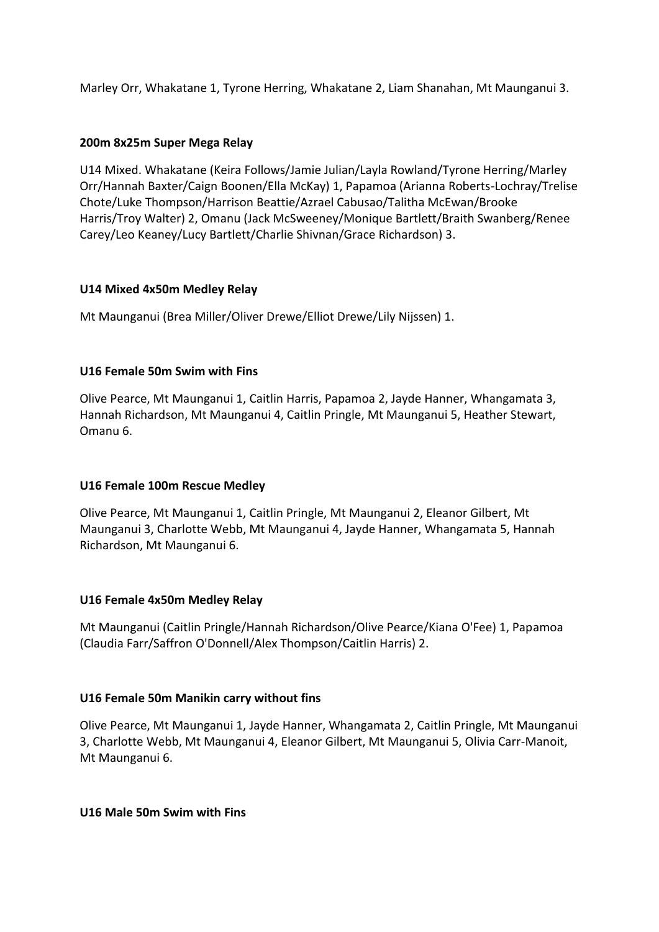Marley Orr, Whakatane 1, Tyrone Herring, Whakatane 2, Liam Shanahan, Mt Maunganui 3.

### **200m 8x25m Super Mega Relay**

U14 Mixed. Whakatane (Keira Follows/Jamie Julian/Layla Rowland/Tyrone Herring/Marley Orr/Hannah Baxter/Caign Boonen/Ella McKay) 1, Papamoa (Arianna Roberts-Lochray/Trelise Chote/Luke Thompson/Harrison Beattie/Azrael Cabusao/Talitha McEwan/Brooke Harris/Troy Walter) 2, Omanu (Jack McSweeney/Monique Bartlett/Braith Swanberg/Renee Carey/Leo Keaney/Lucy Bartlett/Charlie Shivnan/Grace Richardson) 3.

#### **U14 Mixed 4x50m Medley Relay**

Mt Maunganui (Brea Miller/Oliver Drewe/Elliot Drewe/Lily Nijssen) 1.

# **U16 Female 50m Swim with Fins**

Olive Pearce, Mt Maunganui 1, Caitlin Harris, Papamoa 2, Jayde Hanner, Whangamata 3, Hannah Richardson, Mt Maunganui 4, Caitlin Pringle, Mt Maunganui 5, Heather Stewart, Omanu 6.

#### **U16 Female 100m Rescue Medley**

Olive Pearce, Mt Maunganui 1, Caitlin Pringle, Mt Maunganui 2, Eleanor Gilbert, Mt Maunganui 3, Charlotte Webb, Mt Maunganui 4, Jayde Hanner, Whangamata 5, Hannah Richardson, Mt Maunganui 6.

#### **U16 Female 4x50m Medley Relay**

Mt Maunganui (Caitlin Pringle/Hannah Richardson/Olive Pearce/Kiana O'Fee) 1, Papamoa (Claudia Farr/Saffron O'Donnell/Alex Thompson/Caitlin Harris) 2.

#### **U16 Female 50m Manikin carry without fins**

Olive Pearce, Mt Maunganui 1, Jayde Hanner, Whangamata 2, Caitlin Pringle, Mt Maunganui 3, Charlotte Webb, Mt Maunganui 4, Eleanor Gilbert, Mt Maunganui 5, Olivia Carr-Manoit, Mt Maunganui 6.

**U16 Male 50m Swim with Fins**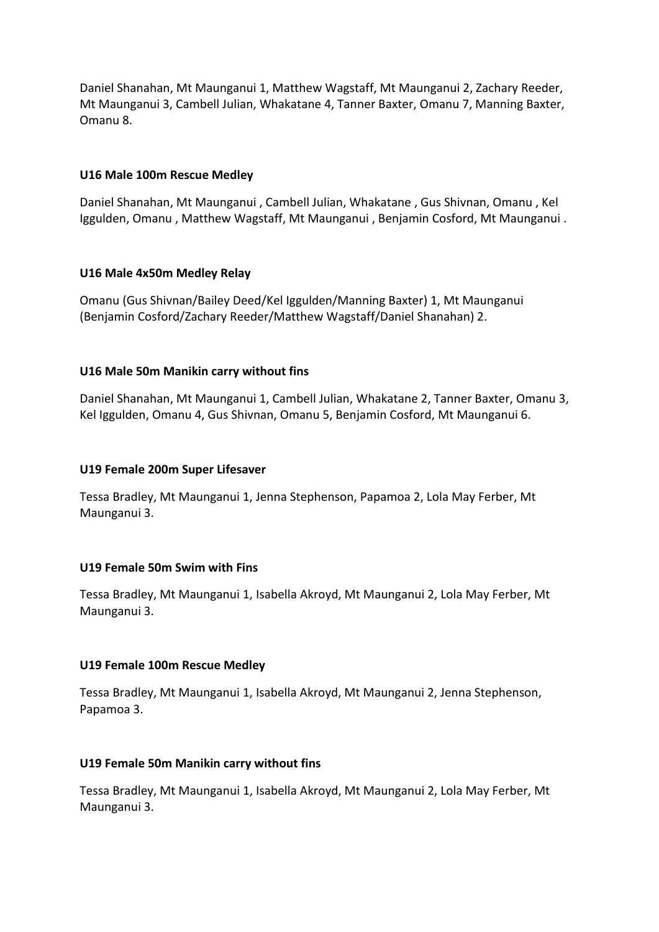Daniel Shanahan, Mt Maunganui 1, Matthew Wagstaff, Mt Maunganui 2, Zachary Reeder, Mt Maunganui 3, Cambell Julian, Whakatane 4, Tanner Baxter, Omanu 7, Manning Baxter, Omanu 8.

#### **U16 Male 100m Rescue Medley**

Daniel Shanahan, Mt Maunganui , Cambell Julian, Whakatane , Gus Shivnan, Omanu , Kel Iggulden, Omanu , Matthew Wagstaff, Mt Maunganui , Benjamin Cosford, Mt Maunganui .

#### **U16 Male 4x50m Medley Relay**

Omanu (Gus Shivnan/Bailey Deed/Kel Iggulden/Manning Baxter) 1, Mt Maunganui (Benjamin Cosford/Zachary Reeder/Matthew Wagstaff/Daniel Shanahan) 2.

#### **U16 Male 50m Manikin carry without fins**

Daniel Shanahan, Mt Maunganui 1, Cambell Julian, Whakatane 2, Tanner Baxter, Omanu 3, Kel Iggulden, Omanu 4, Gus Shivnan, Omanu 5, Benjamin Cosford, Mt Maunganui 6.

#### **U19 Female 200m Super Lifesaver**

Tessa Bradley, Mt Maunganui 1, Jenna Stephenson, Papamoa 2, Lola May Ferber, Mt Maunganui 3.

#### **U19 Female 50m Swim with Fins**

Tessa Bradley, Mt Maunganui 1, Isabella Akroyd, Mt Maunganui 2, Lola May Ferber, Mt Maunganui 3.

#### **U19 Female 100m Rescue Medley**

Tessa Bradley, Mt Maunganui 1, Isabella Akroyd, Mt Maunganui 2, Jenna Stephenson, Papamoa 3.

#### **U19 Female 50m Manikin carry without fins**

Tessa Bradley, Mt Maunganui 1, Isabella Akroyd, Mt Maunganui 2, Lola May Ferber, Mt Maunganui 3.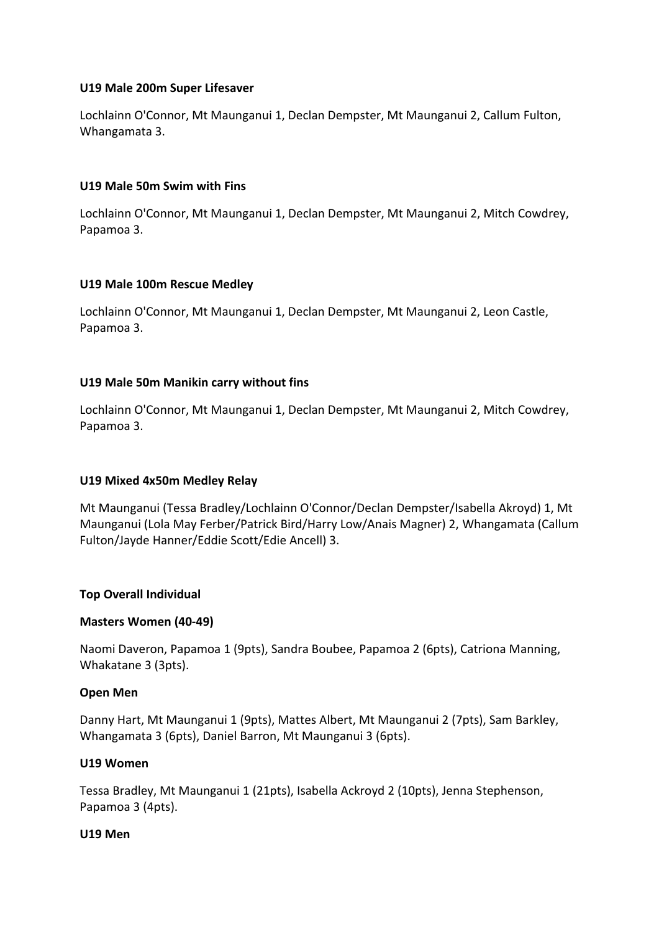### **U19 Male 200m Super Lifesaver**

Lochlainn O'Connor, Mt Maunganui 1, Declan Dempster, Mt Maunganui 2, Callum Fulton, Whangamata 3.

### **U19 Male 50m Swim with Fins**

Lochlainn O'Connor, Mt Maunganui 1, Declan Dempster, Mt Maunganui 2, Mitch Cowdrey, Papamoa 3.

# **U19 Male 100m Rescue Medley**

Lochlainn O'Connor, Mt Maunganui 1, Declan Dempster, Mt Maunganui 2, Leon Castle, Papamoa 3.

# **U19 Male 50m Manikin carry without fins**

Lochlainn O'Connor, Mt Maunganui 1, Declan Dempster, Mt Maunganui 2, Mitch Cowdrey, Papamoa 3.

# **U19 Mixed 4x50m Medley Relay**

Mt Maunganui (Tessa Bradley/Lochlainn O'Connor/Declan Dempster/Isabella Akroyd) 1, Mt Maunganui (Lola May Ferber/Patrick Bird/Harry Low/Anais Magner) 2, Whangamata (Callum Fulton/Jayde Hanner/Eddie Scott/Edie Ancell) 3.

#### **Top Overall Individual**

#### **Masters Women (40-49)**

Naomi Daveron, Papamoa 1 (9pts), Sandra Boubee, Papamoa 2 (6pts), Catriona Manning, Whakatane 3 (3pts).

#### **Open Men**

Danny Hart, Mt Maunganui 1 (9pts), Mattes Albert, Mt Maunganui 2 (7pts), Sam Barkley, Whangamata 3 (6pts), Daniel Barron, Mt Maunganui 3 (6pts).

#### **U19 Women**

Tessa Bradley, Mt Maunganui 1 (21pts), Isabella Ackroyd 2 (10pts), Jenna Stephenson, Papamoa 3 (4pts).

#### **U19 Men**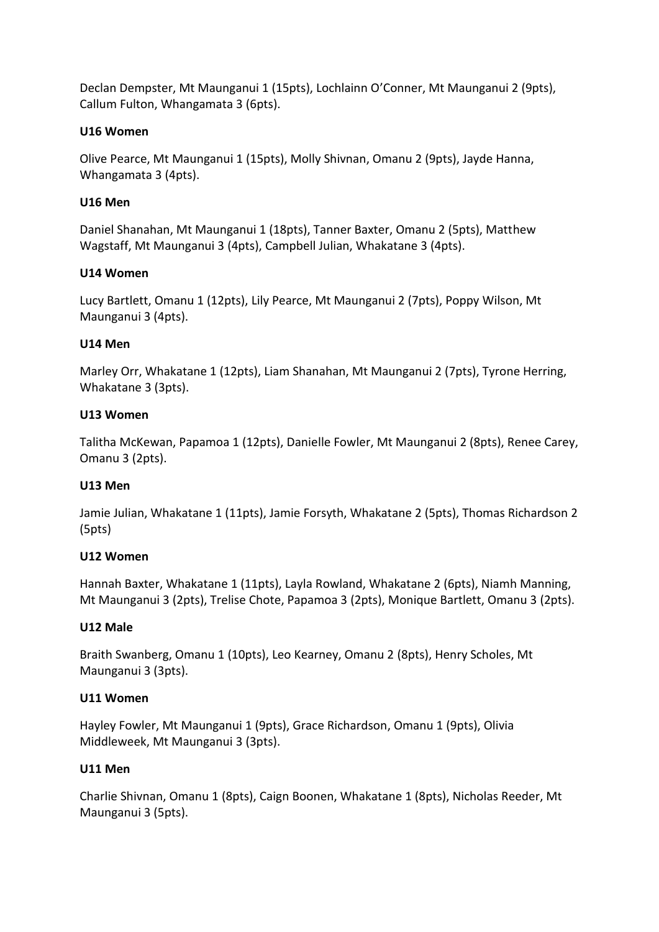Declan Dempster, Mt Maunganui 1 (15pts), Lochlainn O'Conner, Mt Maunganui 2 (9pts), Callum Fulton, Whangamata 3 (6pts).

### **U16 Women**

Olive Pearce, Mt Maunganui 1 (15pts), Molly Shivnan, Omanu 2 (9pts), Jayde Hanna, Whangamata 3 (4pts).

### **U16 Men**

Daniel Shanahan, Mt Maunganui 1 (18pts), Tanner Baxter, Omanu 2 (5pts), Matthew Wagstaff, Mt Maunganui 3 (4pts), Campbell Julian, Whakatane 3 (4pts).

# **U14 Women**

Lucy Bartlett, Omanu 1 (12pts), Lily Pearce, Mt Maunganui 2 (7pts), Poppy Wilson, Mt Maunganui 3 (4pts).

# **U14 Men**

Marley Orr, Whakatane 1 (12pts), Liam Shanahan, Mt Maunganui 2 (7pts), Tyrone Herring, Whakatane 3 (3pts).

# **U13 Women**

Talitha McKewan, Papamoa 1 (12pts), Danielle Fowler, Mt Maunganui 2 (8pts), Renee Carey, Omanu 3 (2pts).

#### **U13 Men**

Jamie Julian, Whakatane 1 (11pts), Jamie Forsyth, Whakatane 2 (5pts), Thomas Richardson 2 (5pts)

#### **U12 Women**

Hannah Baxter, Whakatane 1 (11pts), Layla Rowland, Whakatane 2 (6pts), Niamh Manning, Mt Maunganui 3 (2pts), Trelise Chote, Papamoa 3 (2pts), Monique Bartlett, Omanu 3 (2pts).

#### **U12 Male**

Braith Swanberg, Omanu 1 (10pts), Leo Kearney, Omanu 2 (8pts), Henry Scholes, Mt Maunganui 3 (3pts).

#### **U11 Women**

Hayley Fowler, Mt Maunganui 1 (9pts), Grace Richardson, Omanu 1 (9pts), Olivia Middleweek, Mt Maunganui 3 (3pts).

#### **U11 Men**

Charlie Shivnan, Omanu 1 (8pts), Caign Boonen, Whakatane 1 (8pts), Nicholas Reeder, Mt Maunganui 3 (5pts).